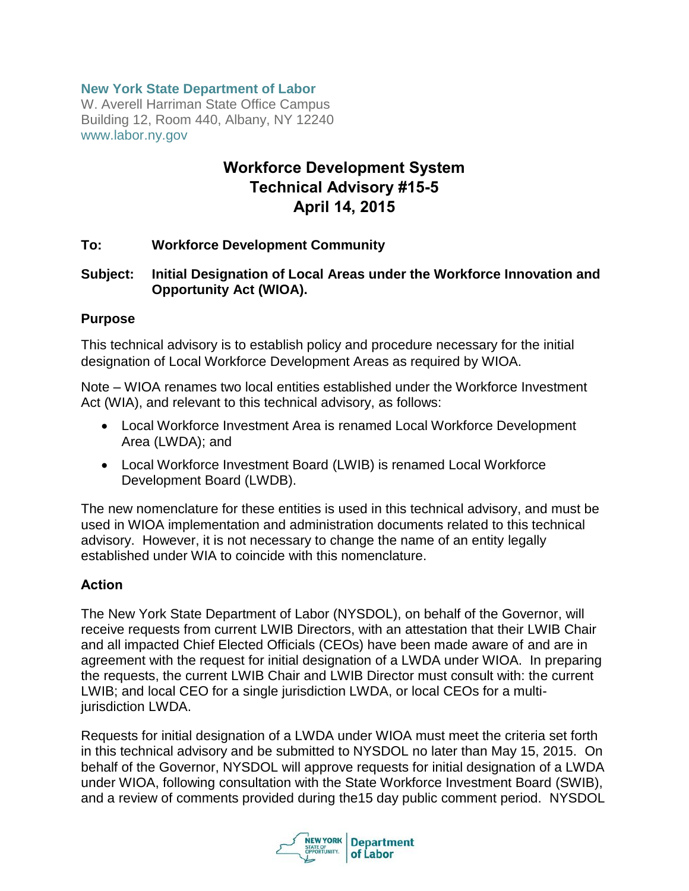### **New York State Department of Labor**

W. Averell Harriman State Office Campus Building 12, Room 440, Albany, NY 12240 www.labor.ny.gov

# **Workforce Development System Technical Advisory #15-5 April 14, 2015**

### **To: Workforce Development Community**

### **Subject: Initial Designation of Local Areas under the Workforce Innovation and Opportunity Act (WIOA).**

#### **Purpose**

This technical advisory is to establish policy and procedure necessary for the initial designation of Local Workforce Development Areas as required by WIOA.

Note – WIOA renames two local entities established under the Workforce Investment Act (WIA), and relevant to this technical advisory, as follows:

- Local Workforce Investment Area is renamed Local Workforce Development Area (LWDA); and
- Local Workforce Investment Board (LWIB) is renamed Local Workforce Development Board (LWDB).

The new nomenclature for these entities is used in this technical advisory, and must be used in WIOA implementation and administration documents related to this technical advisory. However, it is not necessary to change the name of an entity legally established under WIA to coincide with this nomenclature.

### **Action**

The New York State Department of Labor (NYSDOL), on behalf of the Governor, will receive requests from current LWIB Directors, with an attestation that their LWIB Chair and all impacted Chief Elected Officials (CEOs) have been made aware of and are in agreement with the request for initial designation of a LWDA under WIOA. In preparing the requests, the current LWIB Chair and LWIB Director must consult with: the current LWIB; and local CEO for a single jurisdiction LWDA, or local CEOs for a multijurisdiction LWDA.

Requests for initial designation of a LWDA under WIOA must meet the criteria set forth in this technical advisory and be submitted to NYSDOL no later than May 15, 2015. On behalf of the Governor, NYSDOL will approve requests for initial designation of a LWDA under WIOA, following consultation with the State Workforce Investment Board (SWIB), and a review of comments provided during the15 day public comment period. NYSDOL

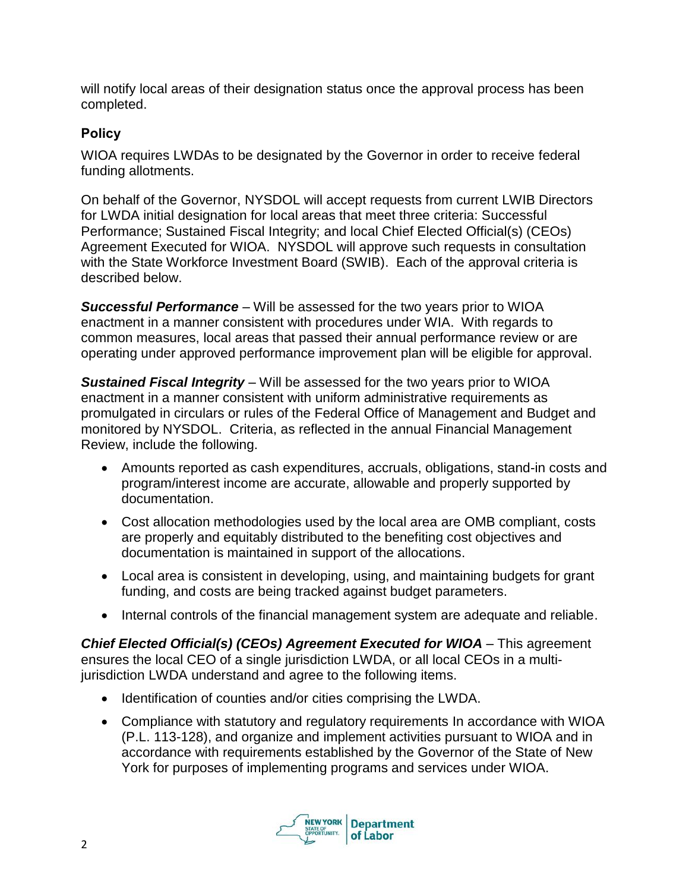will notify local areas of their designation status once the approval process has been completed.

## **Policy**

WIOA requires LWDAs to be designated by the Governor in order to receive federal funding allotments.

On behalf of the Governor, NYSDOL will accept requests from current LWIB Directors for LWDA initial designation for local areas that meet three criteria: Successful Performance; Sustained Fiscal Integrity; and local Chief Elected Official(s) (CEOs) Agreement Executed for WIOA. NYSDOL will approve such requests in consultation with the State Workforce Investment Board (SWIB). Each of the approval criteria is described below.

*Successful Performance* – Will be assessed for the two years prior to WIOA enactment in a manner consistent with procedures under WIA. With regards to common measures, local areas that passed their annual performance review or are operating under approved performance improvement plan will be eligible for approval.

*Sustained Fiscal Integrity* – Will be assessed for the two years prior to WIOA enactment in a manner consistent with uniform administrative requirements as promulgated in circulars or rules of the Federal Office of Management and Budget and monitored by NYSDOL. Criteria, as reflected in the annual Financial Management Review, include the following.

- Amounts reported as cash expenditures, accruals, obligations, stand-in costs and program/interest income are accurate, allowable and properly supported by documentation.
- Cost allocation methodologies used by the local area are OMB compliant, costs are properly and equitably distributed to the benefiting cost objectives and documentation is maintained in support of the allocations.
- Local area is consistent in developing, using, and maintaining budgets for grant funding, and costs are being tracked against budget parameters.
- Internal controls of the financial management system are adequate and reliable.

*Chief Elected Official(s) (CEOs) Agreement Executed for WIOA* – This agreement ensures the local CEO of a single jurisdiction LWDA, or all local CEOs in a multijurisdiction LWDA understand and agree to the following items.

- Identification of counties and/or cities comprising the LWDA.
- Compliance with statutory and regulatory requirements In accordance with WIOA (P.L. 113-128), and organize and implement activities pursuant to WIOA and in accordance with requirements established by the Governor of the State of New York for purposes of implementing programs and services under WIOA.

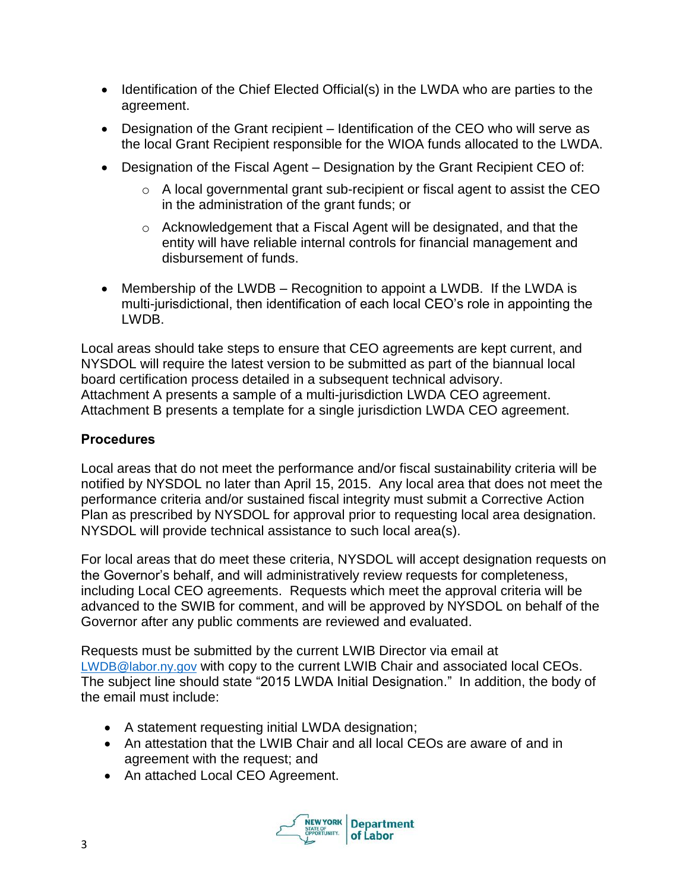- Identification of the Chief Elected Official(s) in the LWDA who are parties to the agreement.
- Designation of the Grant recipient Identification of the CEO who will serve as the local Grant Recipient responsible for the WIOA funds allocated to the LWDA.
- Designation of the Fiscal Agent Designation by the Grant Recipient CEO of:
	- o A local governmental grant sub-recipient or fiscal agent to assist the CEO in the administration of the grant funds; or
	- o Acknowledgement that a Fiscal Agent will be designated, and that the entity will have reliable internal controls for financial management and disbursement of funds.
- Membership of the LWDB Recognition to appoint a LWDB. If the LWDA is multi-jurisdictional, then identification of each local CEO's role in appointing the LWDB.

Local areas should take steps to ensure that CEO agreements are kept current, and NYSDOL will require the latest version to be submitted as part of the biannual local board certification process detailed in a subsequent technical advisory. Attachment A presents a sample of a multi-jurisdiction LWDA CEO agreement. Attachment B presents a template for a single jurisdiction LWDA CEO agreement.

### **Procedures**

Local areas that do not meet the performance and/or fiscal sustainability criteria will be notified by NYSDOL no later than April 15, 2015. Any local area that does not meet the performance criteria and/or sustained fiscal integrity must submit a Corrective Action Plan as prescribed by NYSDOL for approval prior to requesting local area designation. NYSDOL will provide technical assistance to such local area(s).

For local areas that do meet these criteria, NYSDOL will accept designation requests on the Governor's behalf, and will administratively review requests for completeness, including Local CEO agreements. Requests which meet the approval criteria will be advanced to the SWIB for comment, and will be approved by NYSDOL on behalf of the Governor after any public comments are reviewed and evaluated.

Requests must be submitted by the current LWIB Director via email at [LWDB@labor.ny.gov](mailto:LWDB@labor.ny.gov) with copy to the current LWIB Chair and associated local CEOs. The subject line should state "2015 LWDA Initial Designation." In addition, the body of the email must include:

- A statement requesting initial LWDA designation;
- An attestation that the LWIB Chair and all local CEOs are aware of and in agreement with the request; and
- An attached Local CEO Agreement.